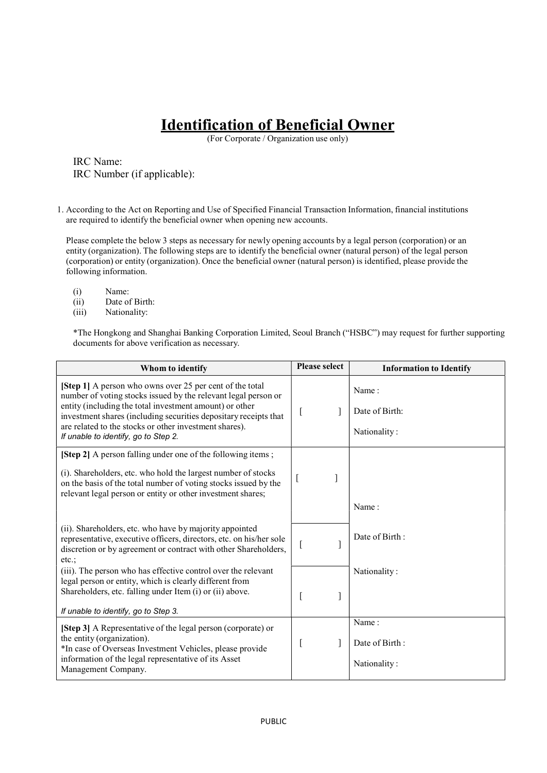## Identification of Beneficial Owner

(For Corporate / Organization use only)

IRC Name: IRC Number (if applicable):

1. According to the Act on Reporting and Use of Specified Financial Transaction Information, financial institutions are required to identify the beneficial owner when opening new accounts.

Please complete the below 3 steps as necessary for newly opening accounts by a legal person (corporation) or an entity (organization). The following steps are to identify the beneficial owner (natural person) of the legal person (corporation) or entity (organization). Once the beneficial owner (natural person) is identified, please provide the following information.

- (i) Name:
- (ii) Date of Birth:
- (iii) Nationality:

\*The Hongkong and Shanghai Banking Corporation Limited, Seoul Branch ("HSBC") may request for further supporting documents for above verification as necessary.

| Whom to identify                                                                                                                                                                                                                                                                                                                                            | <b>Please select</b> | <b>Information to Identify</b>          |
|-------------------------------------------------------------------------------------------------------------------------------------------------------------------------------------------------------------------------------------------------------------------------------------------------------------------------------------------------------------|----------------------|-----------------------------------------|
| [Step 1] A person who owns over 25 per cent of the total<br>number of voting stocks issued by the relevant legal person or<br>entity (including the total investment amount) or other<br>investment shares (including securities depositary receipts that<br>are related to the stocks or other investment shares).<br>If unable to identify, go to Step 2. |                      | Name:<br>Date of Birth:<br>Nationality: |
| [Step 2] A person falling under one of the following items;<br>(i). Shareholders, etc. who hold the largest number of stocks<br>on the basis of the total number of voting stocks issued by the<br>relevant legal person or entity or other investment shares;                                                                                              | t                    | Name:                                   |
| (ii). Shareholders, etc. who have by majority appointed<br>representative, executive officers, directors, etc. on his/her sole<br>discretion or by agreement or contract with other Shareholders,<br>etc.:                                                                                                                                                  | 1                    | Date of Birth:                          |
| (iii). The person who has effective control over the relevant<br>legal person or entity, which is clearly different from<br>Shareholders, etc. falling under Item (i) or (ii) above.<br>If unable to identify, go to Step 3.                                                                                                                                | ]                    | Nationality:                            |
| [Step 3] A Representative of the legal person (corporate) or<br>the entity (organization).<br>*In case of Overseas Investment Vehicles, please provide<br>information of the legal representative of its Asset<br>Management Company.                                                                                                                       | 1                    | Name:<br>Date of Birth:<br>Nationality: |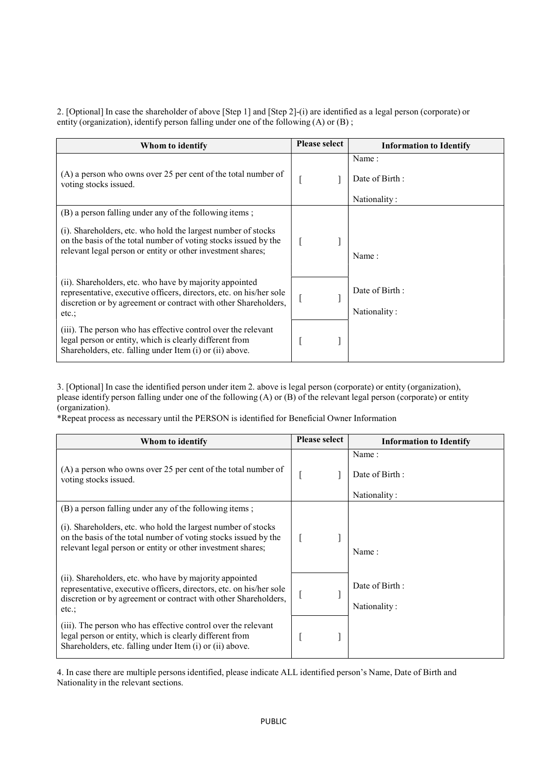2. [Optional] In case the shareholder of above [Step 1] and [Step 2]-(i) are identified as a legal person (corporate) or entity (organization), identify person falling under one of the following (A) or (B) ;

| Whom to identify                                                                                                                                                                                                                                          | <b>Please select</b> | <b>Information to Identify</b>          |
|-----------------------------------------------------------------------------------------------------------------------------------------------------------------------------------------------------------------------------------------------------------|----------------------|-----------------------------------------|
| (A) a person who owns over 25 per cent of the total number of<br>voting stocks issued.                                                                                                                                                                    |                      | Name:<br>Date of Birth:<br>Nationality: |
| (B) a person falling under any of the following items;<br>(i). Shareholders, etc. who hold the largest number of stocks<br>on the basis of the total number of voting stocks issued by the<br>relevant legal person or entity or other investment shares; |                      | Name:                                   |
| (ii). Shareholders, etc. who have by majority appointed<br>representative, executive officers, directors, etc. on his/her sole<br>discretion or by agreement or contract with other Shareholders,<br>$etc.$ ;                                             |                      | Date of Birth:<br>Nationality:          |
| (iii). The person who has effective control over the relevant<br>legal person or entity, which is clearly different from<br>Shareholders, etc. falling under Item (i) or (ii) above.                                                                      |                      |                                         |

3. [Optional] In case the identified person under item 2. above is legal person (corporate) or entity (organization), please identify person falling under one of the following (A) or (B) of the relevant legal person (corporate) or entity (organization).

\*Repeat process as necessary until the PERSON is identified for Beneficial Owner Information

| Whom to identify                                                                                                                                                                                                                                          | <b>Please select</b> | <b>Information to Identify</b>          |
|-----------------------------------------------------------------------------------------------------------------------------------------------------------------------------------------------------------------------------------------------------------|----------------------|-----------------------------------------|
| $(A)$ a person who owns over 25 per cent of the total number of<br>voting stocks issued.                                                                                                                                                                  |                      | Name:<br>Date of Birth:<br>Nationality: |
| (B) a person falling under any of the following items;<br>(i). Shareholders, etc. who hold the largest number of stocks<br>on the basis of the total number of voting stocks issued by the<br>relevant legal person or entity or other investment shares; |                      | Name:                                   |
| (ii). Shareholders, etc. who have by majority appointed<br>representative, executive officers, directors, etc. on his/her sole<br>discretion or by agreement or contract with other Shareholders,<br>$etc.$ ;                                             |                      | Date of Birth:<br>Nationality:          |
| (iii). The person who has effective control over the relevant<br>legal person or entity, which is clearly different from<br>Shareholders, etc. falling under Item (i) or (ii) above.                                                                      |                      |                                         |

4. In case there are multiple persons identified, please indicate ALL identified person's Name, Date of Birth and Nationality in the relevant sections.